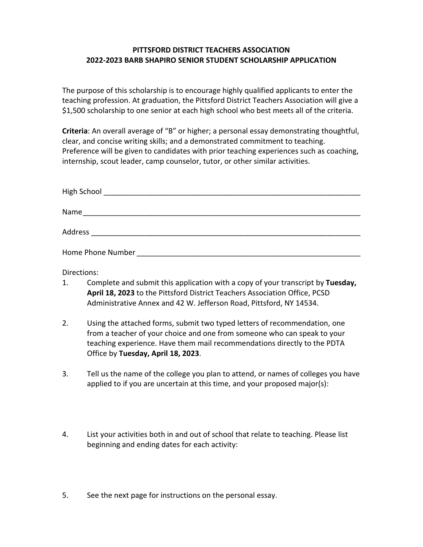## **PITTSFORD DISTRICT TEACHERS ASSOCIATION 2022-2023 BARB SHAPIRO SENIOR STUDENT SCHOLARSHIP APPLICATION**

The purpose of this scholarship is to encourage highly qualified applicants to enter the teaching profession. At graduation, the Pittsford District Teachers Association will give a \$1,500 scholarship to one senior at each high school who best meets all of the criteria.

**Criteria**: An overall average of "B" or higher; a personal essay demonstrating thoughtful, clear, and concise writing skills; and a demonstrated commitment to teaching. Preference will be given to candidates with prior teaching experiences such as coaching, internship, scout leader, camp counselor, tutor, or other similar activities.

| High School       |  |  |
|-------------------|--|--|
| Name              |  |  |
| Address           |  |  |
| Home Phone Number |  |  |

Directions:

- 1. Complete and submit this application with a copy of your transcript by **Tuesday, April 18, 2023** to the Pittsford District Teachers Association Office, PCSD Administrative Annex and 42 W. Jefferson Road, Pittsford, NY 14534.
- 2. Using the attached forms, submit two typed letters of recommendation, one from a teacher of your choice and one from someone who can speak to your teaching experience. Have them mail recommendations directly to the PDTA Office by **Tuesday, April 18, 2023**.
- 3. Tell us the name of the college you plan to attend, or names of colleges you have applied to if you are uncertain at this time, and your proposed major(s):
- 4. List your activities both in and out of school that relate to teaching. Please list beginning and ending dates for each activity:
- 5. See the next page for instructions on the personal essay.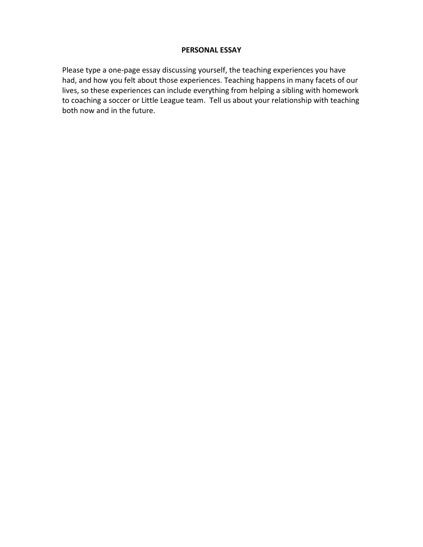## **PERSONAL ESSAY**

Please type a one-page essay discussing yourself, the teaching experiences you have had, and how you felt about those experiences. Teaching happens in many facets of our lives, so these experiences can include everything from helping a sibling with homework to coaching a soccer or Little League team. Tell us about your relationship with teaching both now and in the future.